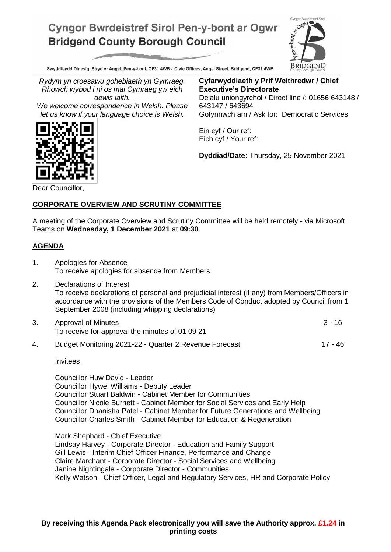# **Cyngor Bwrdeistref Sirol Pen-y-bont ar Ogwr Bridgend County Borough Council**



Swyddfeydd Dinesig, Stryd yr Angel, Pen-y-bont, CF31 4WB / Civic Offices, Angel Street, Bridgend, CF31 4WB

*Rydym yn croesawu gohebiaeth yn Gymraeg. Rhowch wybod i ni os mai Cymraeg yw eich dewis iaith.*

*We welcome correspondence in Welsh. Please let us know if your language choice is Welsh.*

**Cyfarwyddiaeth y Prif Weithredwr / Chief Executive's Directorate** Deialu uniongyrchol / Direct line /: 01656 643148 / 643147 / 643694 Gofynnwch am / Ask for: Democratic Services

Ein cyf / Our ref: Eich cyf / Your ref:

**Dyddiad/Date:** Thursday, 25 November 2021

Dear Councillor,

## **CORPORATE OVERVIEW AND SCRUTINY COMMITTEE**

A meeting of the Corporate Overview and Scrutiny Committee will be held remotely - via Microsoft Teams on **Wednesday, 1 December 2021** at **09:30**.

## **AGENDA**

- 1. Apologies for Absence To receive apologies for absence from Members.
- 2. Declarations of Interest To receive declarations of personal and prejudicial interest (if any) from Members/Officers in accordance with the provisions of the Members Code of Conduct adopted by Council from 1 September 2008 (including whipping declarations)
- 3. Approval of Minutes 3 16 To receive for approval the minutes of 01 09 21
- 4. Budget Monitoring 2021-22 Quarter 2 Revenue Forecast 17 46

**Invitees** 

Councillor Huw David - Leader Councillor Hywel Williams - Deputy Leader Councillor Stuart Baldwin - Cabinet Member for Communities Councillor Nicole Burnett - Cabinet Member for Social Services and Early Help Councillor Dhanisha Patel - Cabinet Member for Future Generations and Wellbeing Councillor Charles Smith - Cabinet Member for Education & Regeneration

Mark Shephard - Chief Executive Lindsay Harvey - Corporate Director - Education and Family Support Gill Lewis - Interim Chief Officer Finance, Performance and Change Claire Marchant - Corporate Director - Social Services and Wellbeing Janine Nightingale - Corporate Director - Communities Kelly Watson - Chief Officer, Legal and Regulatory Services, HR and Corporate Policy